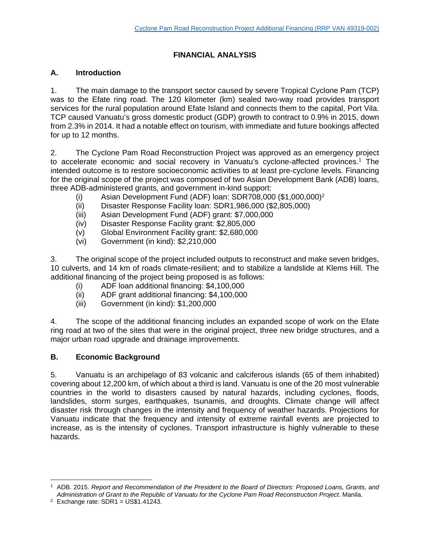# **FINANCIAL ANALYSIS**

## **A. Introduction**

1. The main damage to the transport sector caused by severe Tropical Cyclone Pam (TCP) was to the Efate ring road. The 120 kilometer (km) sealed two-way road provides transport services for the rural population around Efate Island and connects them to the capital, Port Vila. TCP caused Vanuatu's gross domestic product (GDP) growth to contract to 0.9% in 2015, down from 2.3% in 2014. It had a notable effect on tourism, with immediate and future bookings affected for up to 12 months.

2. The Cyclone Pam Road Reconstruction Project was approved as an emergency project to accelerate economic and social recovery in Vanuatu's cyclone-affected provinces.1 The intended outcome is to restore socioeconomic activities to at least pre-cyclone levels. Financing for the original scope of the project was composed of two Asian Development Bank (ADB) loans, three ADB-administered grants, and government in-kind support:

- (i) Asian Development Fund (ADF) loan: SDR708,000 (\$1,000,000)2
- (ii) Disaster Response Facility loan: SDR1,986,000 (\$2,805,000)
- (iii) Asian Development Fund (ADF) grant: \$7,000,000
- (iv) Disaster Response Facility grant: \$2,805,000
- (v) Global Environment Facility grant: \$2,680,000
- (vi) Government (in kind): \$2,210,000

3. The original scope of the project included outputs to reconstruct and make seven bridges, 10 culverts, and 14 km of roads climate-resilient; and to stabilize a landslide at Klems Hill. The additional financing of the project being proposed is as follows:

- (i) ADF loan additional financing: \$4,100,000
- (ii) ADF grant additional financing: \$4,100,000
- (iii) Government (in kind): \$1,200,000

4. The scope of the additional financing includes an expanded scope of work on the Efate ring road at two of the sites that were in the original project, three new bridge structures, and a major urban road upgrade and drainage improvements.

# **B. Economic Background**

5. Vanuatu is an archipelago of 83 volcanic and calciferous islands (65 of them inhabited) covering about 12,200 km, of which about a third is land. Vanuatu is one of the 20 most vulnerable countries in the world to disasters caused by natural hazards, including cyclones, floods, landslides, storm surges, earthquakes, tsunamis, and droughts. Climate change will affect disaster risk through changes in the intensity and frequency of weather hazards. Projections for Vanuatu indicate that the frequency and intensity of extreme rainfall events are projected to increase, as is the intensity of cyclones. Transport infrastructure is highly vulnerable to these hazards.

 1 ADB. 2015. *Report and Recommendation of the President to the Board of Directors: Proposed Loans, Grants, and Administration of Grant to the Republic of Vanuatu for the Cyclone Pam Road Reconstruction Project*. Manila. 2 Exchange rate: SDR1 = US\$1.41243.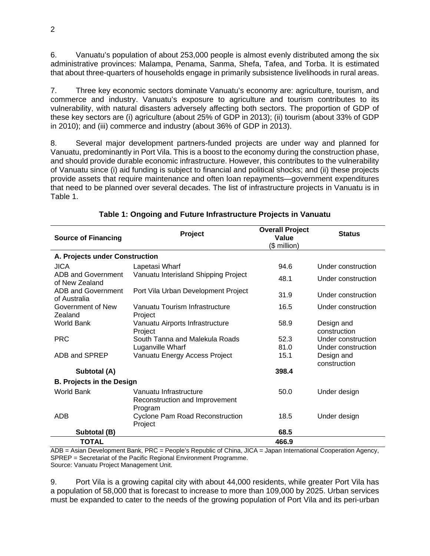6. Vanuatu's population of about 253,000 people is almost evenly distributed among the six administrative provinces: Malampa, Penama, Sanma, Shefa, Tafea, and Torba. It is estimated that about three-quarters of households engage in primarily subsistence livelihoods in rural areas.

7. Three key economic sectors dominate Vanuatu's economy are: agriculture, tourism, and commerce and industry. Vanuatu's exposure to agriculture and tourism contributes to its vulnerability, with natural disasters adversely affecting both sectors. The proportion of GDP of these key sectors are (i) agriculture (about 25% of GDP in 2013); (ii) tourism (about 33% of GDP in 2010); and (iii) commerce and industry (about 36% of GDP in 2013).

8. Several major development partners-funded projects are under way and planned for Vanuatu, predominantly in Port Vila. This is a boost to the economy during the construction phase, and should provide durable economic infrastructure. However, this contributes to the vulnerability of Vanuatu since (i) aid funding is subject to financial and political shocks; and (ii) these projects provide assets that require maintenance and often loan repayments—government expenditures that need to be planned over several decades. The list of infrastructure projects in Vanuatu is in Table 1.

| <b>Source of Financing</b>                | <b>Project</b>                                                      | <b>Overall Project</b><br>Value<br>(\$ million) | <b>Status</b>                            |  |  |  |  |  |
|-------------------------------------------|---------------------------------------------------------------------|-------------------------------------------------|------------------------------------------|--|--|--|--|--|
| A. Projects under Construction            |                                                                     |                                                 |                                          |  |  |  |  |  |
| <b>JICA</b>                               | Lapetasi Wharf                                                      | 94.6                                            | Under construction                       |  |  |  |  |  |
| ADB and Government<br>of New Zealand      | Vanuatu Interisland Shipping Project                                | 48.1                                            | Under construction                       |  |  |  |  |  |
| <b>ADB and Government</b><br>of Australia | Port Vila Urban Development Project                                 | 31.9                                            | Under construction                       |  |  |  |  |  |
| Government of New<br>Zealand              | Vanuatu Tourism Infrastructure<br>Project                           | 16.5                                            | Under construction                       |  |  |  |  |  |
| World Bank                                | Vanuatu Airports Infrastructure<br>Project                          | 58.9                                            | Design and<br>construction               |  |  |  |  |  |
| <b>PRC</b>                                | South Tanna and Malekula Roads<br>Luganville Wharf                  | 52.3<br>81.0                                    | Under construction<br>Under construction |  |  |  |  |  |
| ADB and SPREP                             | Vanuatu Energy Access Project                                       | 15.1                                            | Design and<br>construction               |  |  |  |  |  |
| Subtotal (A)                              |                                                                     | 398.4                                           |                                          |  |  |  |  |  |
| <b>B. Projects in the Design</b>          |                                                                     |                                                 |                                          |  |  |  |  |  |
| <b>World Bank</b>                         | Vanuatu Infrastructure<br>Reconstruction and Improvement<br>Program | 50.0                                            | Under design                             |  |  |  |  |  |
| <b>ADB</b>                                | <b>Cyclone Pam Road Reconstruction</b><br>Project                   | 18.5                                            | Under design                             |  |  |  |  |  |
| Subtotal (B)                              |                                                                     | 68.5                                            |                                          |  |  |  |  |  |
| TOTAL                                     |                                                                     | 466.9                                           |                                          |  |  |  |  |  |

**Table 1: Ongoing and Future Infrastructure Projects in Vanuatu** 

ADB = Asian Development Bank, PRC = People's Republic of China, JICA = Japan International Cooperation Agency, SPREP = Secretariat of the Pacific Regional Environment Programme. Source: Vanuatu Project Management Unit.

9. Port Vila is a growing capital city with about 44,000 residents, while greater Port Vila has a population of 58,000 that is forecast to increase to more than 109,000 by 2025. Urban services must be expanded to cater to the needs of the growing population of Port Vila and its peri-urban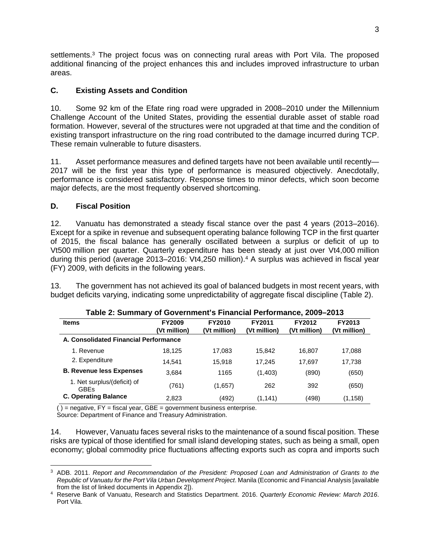settlements.<sup>3</sup> The project focus was on connecting rural areas with Port Vila. The proposed additional financing of the project enhances this and includes improved infrastructure to urban areas.

#### **C. Existing Assets and Condition**

10. Some 92 km of the Efate ring road were upgraded in 2008–2010 under the Millennium Challenge Account of the United States, providing the essential durable asset of stable road formation. However, several of the structures were not upgraded at that time and the condition of existing transport infrastructure on the ring road contributed to the damage incurred during TCP. These remain vulnerable to future disasters.

11. Asset performance measures and defined targets have not been available until recently— 2017 will be the first year this type of performance is measured objectively. Anecdotally, performance is considered satisfactory. Response times to minor defects, which soon become major defects, are the most frequently observed shortcoming.

#### **D. Fiscal Position**

12. Vanuatu has demonstrated a steady fiscal stance over the past 4 years (2013–2016). Except for a spike in revenue and subsequent operating balance following TCP in the first quarter of 2015, the fiscal balance has generally oscillated between a surplus or deficit of up to Vt500 million per quarter. Quarterly expenditure has been steady at just over Vt4,000 million during this period (average 2013–2016: Vt4,250 million).<sup>4</sup> A surplus was achieved in fiscal year (FY) 2009, with deficits in the following years.

13. The government has not achieved its goal of balanced budgets in most recent years, with budget deficits varying, indicating some unpredictability of aggregate fiscal discipline (Table 2).

| $\frac{1}{2}$ , which is a set of the set of the set of the set of the set of $\frac{1}{2}$ , where $\frac{1}{2}$ , we set $\frac{1}{2}$ , we set of $\frac{1}{2}$ , we set of $\frac{1}{2}$ , we set of $\frac{1}{2}$ , we set of $\frac{1}{2}$ , we set of<br><b>Items</b> | <b>FY2009</b><br>(Vt million) | FY2010<br>(Vt million) | FY2011<br>(Vt million) | FY2012<br>(Vt million) | FY2013<br>(Vt million) |  |  |
|------------------------------------------------------------------------------------------------------------------------------------------------------------------------------------------------------------------------------------------------------------------------------|-------------------------------|------------------------|------------------------|------------------------|------------------------|--|--|
| A. Consolidated Financial Performance                                                                                                                                                                                                                                        |                               |                        |                        |                        |                        |  |  |
| 1. Revenue                                                                                                                                                                                                                                                                   | 18.125                        | 17.083                 | 15.842                 | 16,807                 | 17,088                 |  |  |
| 2. Expenditure                                                                                                                                                                                                                                                               | 14.541                        | 15.918                 | 17.245                 | 17.697                 | 17,738                 |  |  |
| <b>B. Revenue less Expenses</b>                                                                                                                                                                                                                                              | 3.684                         | 1165                   | (1,403)                | (890)                  | (650)                  |  |  |
| 1. Net surplus/(deficit) of<br><b>GBEs</b>                                                                                                                                                                                                                                   | (761)                         | (1,657)                | 262                    | 392                    | (650)                  |  |  |
| <b>C. Operating Balance</b>                                                                                                                                                                                                                                                  | 2.823                         | (492)                  | (1,141)                | (498)                  | (1, 158)               |  |  |

## **Table 2: Summary of Government's Financial Performance, 2009–2013**

 $( )$  = negative, FY = fiscal year, GBE = government business enterprise.

Source: Department of Finance and Treasury Administration.

14. However, Vanuatu faces several risks to the maintenance of a sound fiscal position. These risks are typical of those identified for small island developing states, such as being a small, open economy; global commodity price fluctuations affecting exports such as copra and imports such

 3 ADB. 2011. *Report and Recommendation of the President: Proposed Loan and Administration of Grants to the Republic of Vanuatu for the Port Vila Urban Development Project*. Manila (Economic and Financial Analysis [available from the list of linked documents in Appendix 2]).

<sup>4</sup> Reserve Bank of Vanuatu, Research and Statistics Department. 2016. *Quarterly Economic Review: March 2016*. Port Vila.